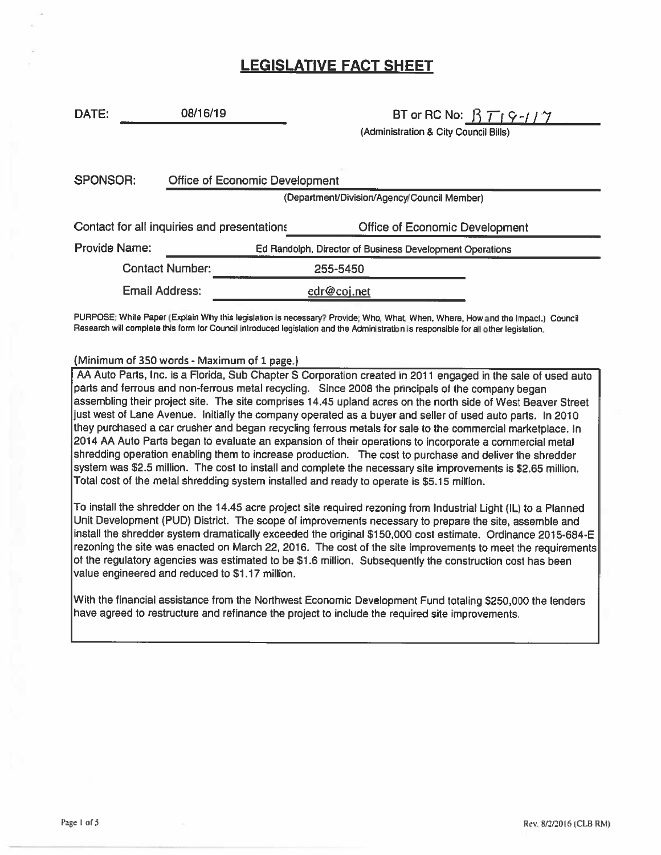# LEGISLATIVE FACT SHEET

DATE: 08/16/19 BT or RC No:  $\beta$   $\overline{T}_1 \overline{9} - I / \gamma$ 

(Administration & City Council Bills)

| <b>SPONSOR:</b>                             | Office of Economic Development              |                                                          |                                       |  |  |  |
|---------------------------------------------|---------------------------------------------|----------------------------------------------------------|---------------------------------------|--|--|--|
|                                             | (Department/Division/Agency/Council Member) |                                                          |                                       |  |  |  |
| Contact for all inquiries and presentations |                                             |                                                          | <b>Office of Economic Development</b> |  |  |  |
| <b>Provide Name:</b>                        |                                             | Ed Randolph, Director of Business Development Operations |                                       |  |  |  |
| <b>Contact Number:</b>                      |                                             |                                                          | 255-5450                              |  |  |  |
| <b>Email Address:</b>                       |                                             |                                                          | edr@coj.net                           |  |  |  |

PURPOSE: White Paper (Explain Why this legislation is necessary? Provide: Who, What, When, Where, How and the Impact.) Council Research will complete this form for Council introduced legislation and the Administration is responsible for all other legislation,

#### (Minimum of 350 words - Maximum of 1 page.)

AA Auto Parts, Inc. is <sup>a</sup> Florida, Sub Chapter S Corporation created in 2011 engaged in the sale of used auto parts and ferrous and non-ferrous metal recycling. Since 2008 the principals of the company began assembling their project site. The site comprises 14.45 upland acres on the north side of West Beaver Street just west of Lane Avenue. Initially the company operated as <sup>a</sup> buyer and seller of used auto parts. In 2010 they purchased <sup>a</sup> car crusher and began recycling ferrous metals for sale to the commercial marketplace. In 2014 AA Auto Parts began to evaluate an expansion of their operations to incorporate <sup>a</sup> commercial metal shredding operation enabling them to increase production. The cost to purchase and deliver the shredder system was \$2.5 million. The cost to install and complete the necessary site improvements is \$2.65 million. Total cost of the metal shredding system installed and ready to operate is \$5.15 million.

To install the shredder on the 14.45 acre project site required rezoning from Industrial Light (IL) to <sup>a</sup> Planned Unit Development (PUD) District. The scope of improvements necessary to prepare the site, assemble and install the shredder system dramatically exceeded the original \$150,000 cost estimate. Ordinance 2015-684-E rezoning the site was enacted on March 22, 2016. The cost of the site improvements to meet the requirements of the regulatory agencies was estimated to be \$1.6 million. Subsequently the construction cost has been value engineered and reduced to \$1.17 million.

With the financial assistance from the Northwest Economic Development Fund totaling \$250,000 the lenders have agreed to restructure and refinance the project to include the required site improvements.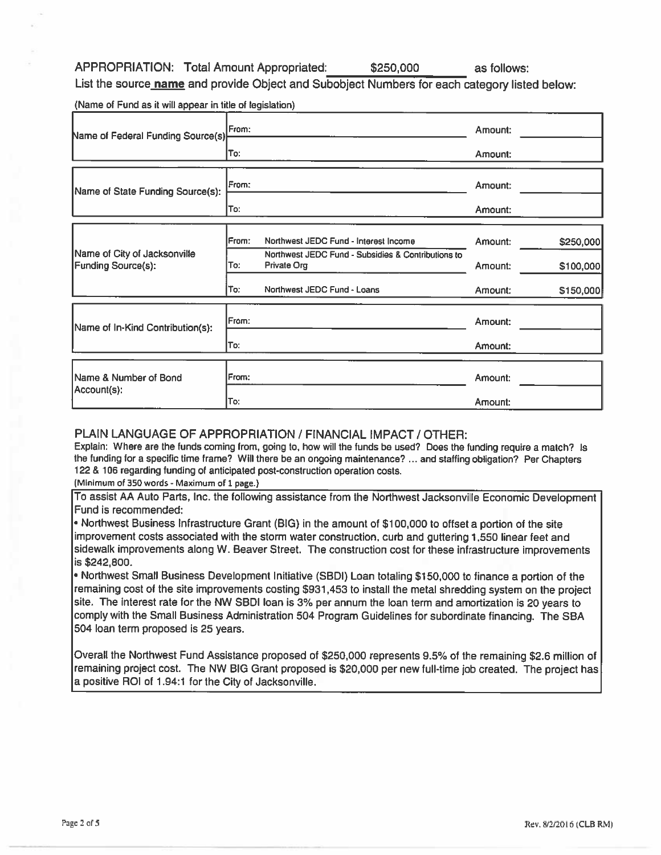APPROPRIATION: Total Amount Appropriated: \$250,000

as follows:

List the source **name** and provide Object and Subobject Numbers for each category listed below:

(Name of Fund as it will appear in title of legislation)\_\_\_\_\_\_\_\_\_\_\_\_\_\_\_\_\_\_\_

| Name of Federal Funding Source(s)                         | From:         |                                                                   | Amount: |           |
|-----------------------------------------------------------|---------------|-------------------------------------------------------------------|---------|-----------|
|                                                           | To:           |                                                                   | Amount: |           |
| Name of State Funding Source(s):                          | IFrom:        |                                                                   | Amount: |           |
|                                                           | To:           |                                                                   | Amount: |           |
|                                                           | IFrom:        | Northwest JEDC Fund - Interest Income                             | Amount: | \$250,000 |
| Name of City of Jacksonville<br><b>Funding Source(s):</b> | To:           | Northwest JEDC Fund - Subsidies & Contributions to<br>Private Org | Amount: | \$100,000 |
|                                                           | To:           | Northwest JEDC Fund - Loans                                       | Amount: | \$150,000 |
| Name of In-Kind Contribution(s):                          | <b>IFrom:</b> |                                                                   | Amount: |           |
|                                                           | To:           |                                                                   | Amount: |           |
| Name & Number of Bond                                     | From:         |                                                                   | Amount: |           |
| Account(s):                                               | lTo:          |                                                                   | Amount: |           |

### PLAIN LANGUAGE OF APPROPRIATION / FINANCIAL IMPACT / OTHER:

Explain: Where are the funds coming from, going to, how will the funds be used? Does the funding require <sup>a</sup> match? Is the funding for <sup>a</sup> specific time frame? Will there be an ongoing maintenance? ... and staffing obligation? Per Chapters 122 & 106 regarding funding of anticipated post-construction operation costs.

(Minimum of 350 words - Maximum of 1 page.)

To assist AA Auto Parts, Inc. the following assistance from the Northwest Jacksonville Economic Development Fund is recommended:

• Northwest Business Infrastructure Grant (BIG) in the amount of \$100,000 to offset <sup>a</sup> portion of the site improvement costs associated with the storm water construction, curb and guttering 1,550 linear feet and sidewalk improvements along W. Beaver Street. The construction cost for these infrastructure improvements is \$242,800.

• Northwest Small Business Development Initiative (SBDI) Loan totaling \$150,000 to finance <sup>a</sup> portion of the remaining cost of the site improvements costing \$931,453 to install the metal shredding system on the project site. The interest rate for the NW SBDI loan is 3% per annum the loan term and amortization is 20 years to comply with the Small Business Administration 504 Program Guidelines for subordinate financing. The SBA 504 loan term proposed is 25 years.

Overall the Northwest Fund Assistance proposed of \$250,000 represents 9.5% of the remaining \$2.6 million of remaining project cost. The NW BIG Grant proposed is \$20,000 per new full-time job created. The project has <sup>a</sup> positive ROI of 1.94:1 for the City of Jacksonville.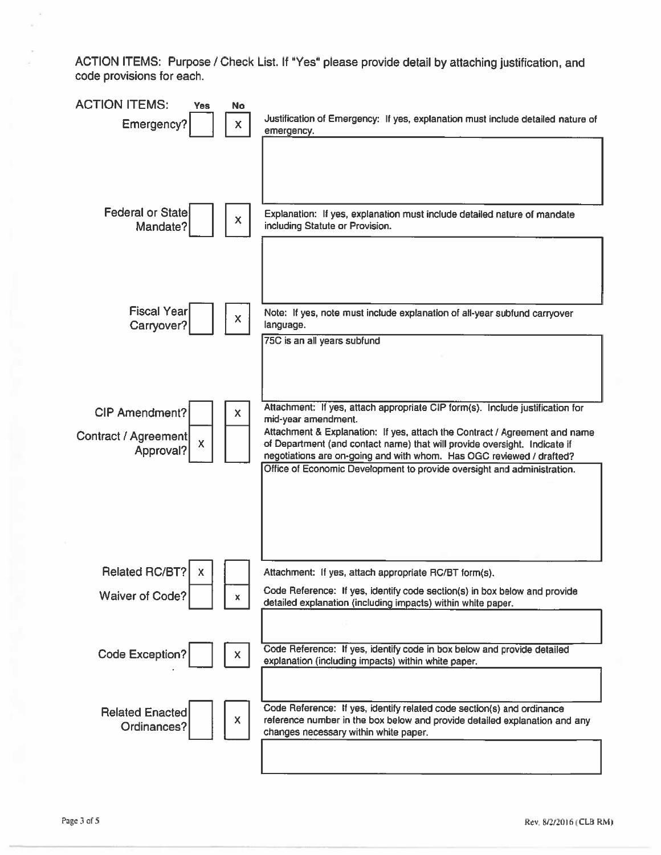ACTION ITEMS: Purpose / Check List. If "Yes" please provide detail by attaching justification, and code provisions for each.

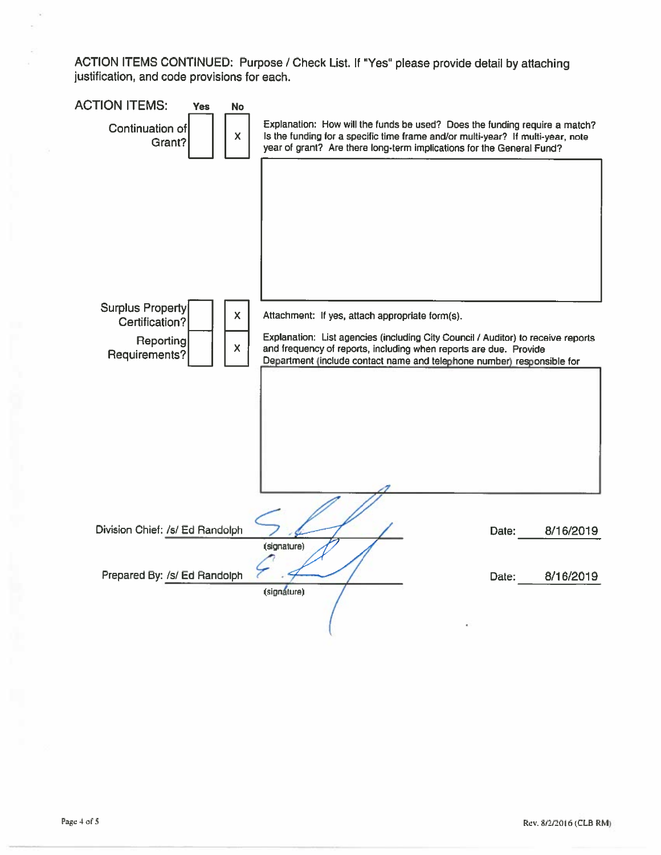ACTION ITEMS CONTINUED: Purpose / Check List. If "Yes" please provide detail by attaching justification, and code provisions for each.